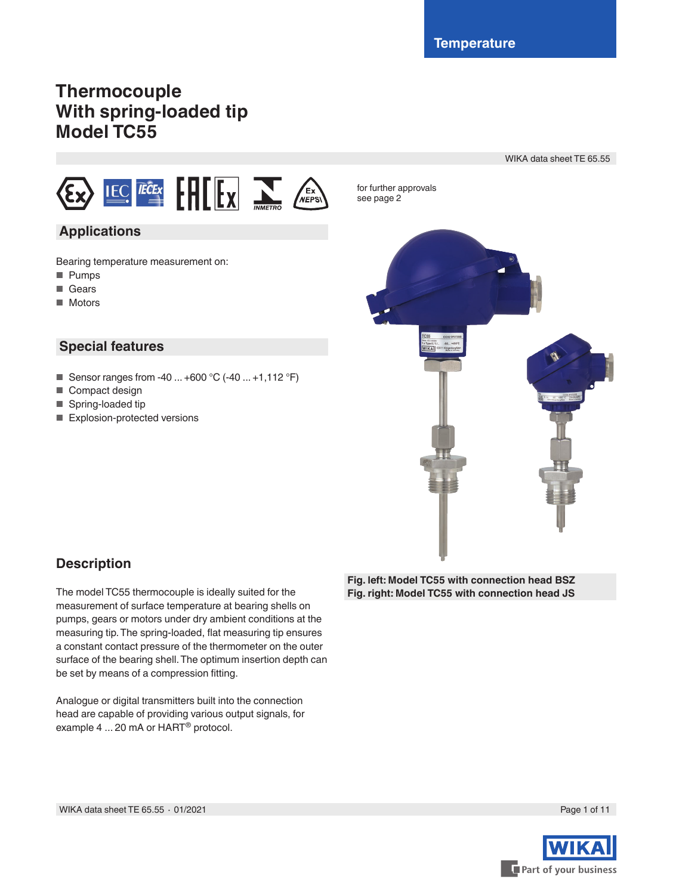for further approvals

# **Thermocouple With spring-loaded tip Model TC55**

WIKA data sheet TE 65.55



## **Applications**

Bearing temperature measurement on:

- Pumps
- Gears
- Motors

## **Special features**

- Sensor ranges from -40 ... +600 °C (-40 ... +1,112 °F)
- Compact design
- Spring-loaded tip
- Explosion-protected versions



## **Description**

The model TC55 thermocouple is ideally suited for the measurement of surface temperature at bearing shells on pumps, gears or motors under dry ambient conditions at the measuring tip. The spring-loaded, flat measuring tip ensures a constant contact pressure of the thermometer on the outer surface of the bearing shell. The optimum insertion depth can be set by means of a compression fitting.

Analogue or digital transmitters built into the connection head are capable of providing various output signals, for example 4 ... 20 mA or HART® protocol.

**Fig. left: Model TC55 with connection head BSZ Fig. right: Model TC55 with connection head JS**

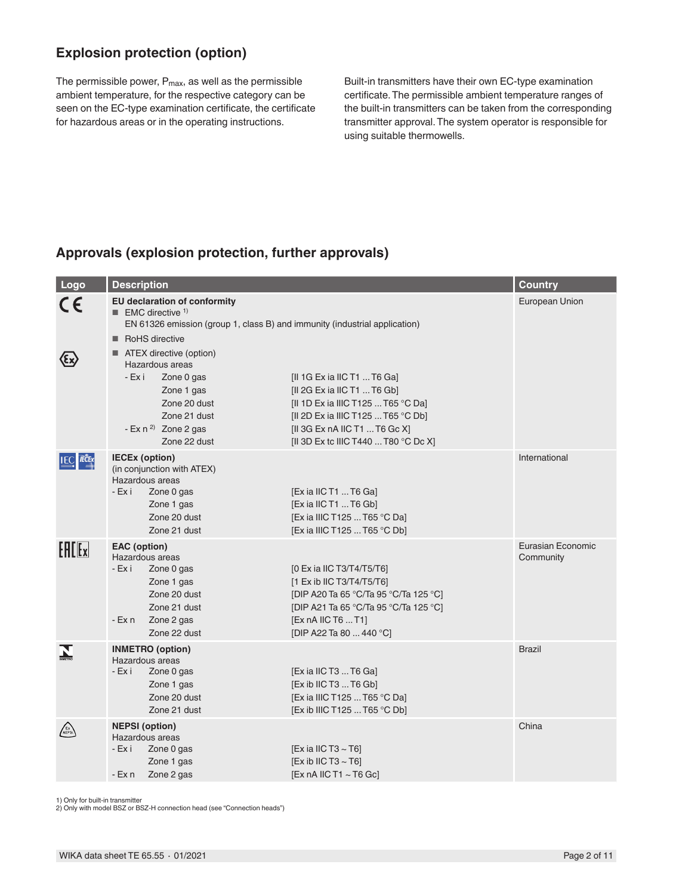## **Explosion protection (option)**

The permissible power,  $P_{max}$ , as well as the permissible ambient temperature, for the respective category can be seen on the EC-type examination certificate, the certificate for hazardous areas or in the operating instructions.

Built-in transmitters have their own EC-type examination certificate. The permissible ambient temperature ranges of the built-in transmitters can be taken from the corresponding transmitter approval. The system operator is responsible for using suitable thermowells.

## **Approvals (explosion protection, further approvals)**

| Logo             | <b>Description</b>                                                                                                                                                              |                                                                                                                                                                                                                 | <b>Country</b>                 |
|------------------|---------------------------------------------------------------------------------------------------------------------------------------------------------------------------------|-----------------------------------------------------------------------------------------------------------------------------------------------------------------------------------------------------------------|--------------------------------|
| CE               | <b>EU declaration of conformity</b><br><b>EMC</b> directive <sup>1)</sup><br>EN 61326 emission (group 1, class B) and immunity (industrial application)                         |                                                                                                                                                                                                                 | European Union                 |
|                  | RoHS directive<br>■ ATEX directive (option)<br>Hazardous areas<br>- Ex i<br>Zone 0 gas<br>Zone 1 gas<br>Zone 20 dust<br>Zone 21 dust<br>- Ex $n^{2}$ Zone 2 gas<br>Zone 22 dust | [II 1G Ex ia IIC T1  T6 Ga]<br>[II 2G Ex ia IIC T1  T6 Gb]<br>[II 1D Ex ia IIIC T125  T65 °C Da]<br>[II 2D Ex ia IIIC T125  T65 °C Db]<br>[II 3G Ex nA IIC T1  T6 Gc X]<br>[II 3D Ex tc IIIC T440  T80 °C Dc X] |                                |
| <b>IEC FECEX</b> | <b>IECEx (option)</b><br>(in conjunction with ATEX)<br>Hazardous areas<br>- Ex i<br>Zone 0 gas<br>Zone 1 gas<br>Zone 20 dust<br>Zone 21 dust                                    | [Ex ia IIC T1  T6 Ga]<br>[Ex ia IIC T1  T6 Gb]<br>[Ex ia IIIC T125  T65 °C Da]<br>[Ex ia IIIC T125  T65 °C Db]                                                                                                  | International                  |
| <b>EALEx</b>     | EAC (option)<br>Hazardous areas<br>- Ex i<br>Zone 0 gas<br>Zone 1 gas<br>Zone 20 dust<br>Zone 21 dust<br>Zone 2 gas<br>- Ex n<br>Zone 22 dust                                   | [0 Ex ia IIC T3/T4/T5/T6]<br>[1 Ex ib IIC T3/T4/T5/T6]<br>[DIP A20 Ta 65 °C/Ta 95 °C/Ta 125 °C]<br>[DIP A21 Ta 65 °C/Ta 95 °C/Ta 125 °C]<br>[Ex nA IIC T6  T1]<br>[DIP A22 Ta 80  440 °C]                       | Eurasian Economic<br>Community |
|                  | <b>INMETRO</b> (option)<br>Hazardous areas<br>- Ex i<br>Zone 0 gas<br>Zone 1 gas<br>Zone 20 dust<br>Zone 21 dust                                                                | [Ex ia IIC T3  T6 Ga]<br>[Ex ib IIC T3  T6 Gb]<br>[Ex ia IIIC T125  T65 °C Da]<br>[Ex ib IIIC T125  T65 °C Db]                                                                                                  | <b>Brazil</b>                  |
| EX<br>NEPS\      | <b>NEPSI</b> (option)<br>Hazardous areas<br>- Ex i<br>Zone 0 gas<br>Zone 1 gas<br>Zone 2 gas<br>- Ex n                                                                          | [Ex ia IIC T3 $\sim$ T6]<br>[Ex ib IIC T3 $\sim$ T6]<br>[Ex nA IIC T1 $\sim$ T6 Gc]                                                                                                                             | China                          |

1) Only for built-in transmitter

2) Only with model BSZ or BSZ-H connection head (see "Connection heads")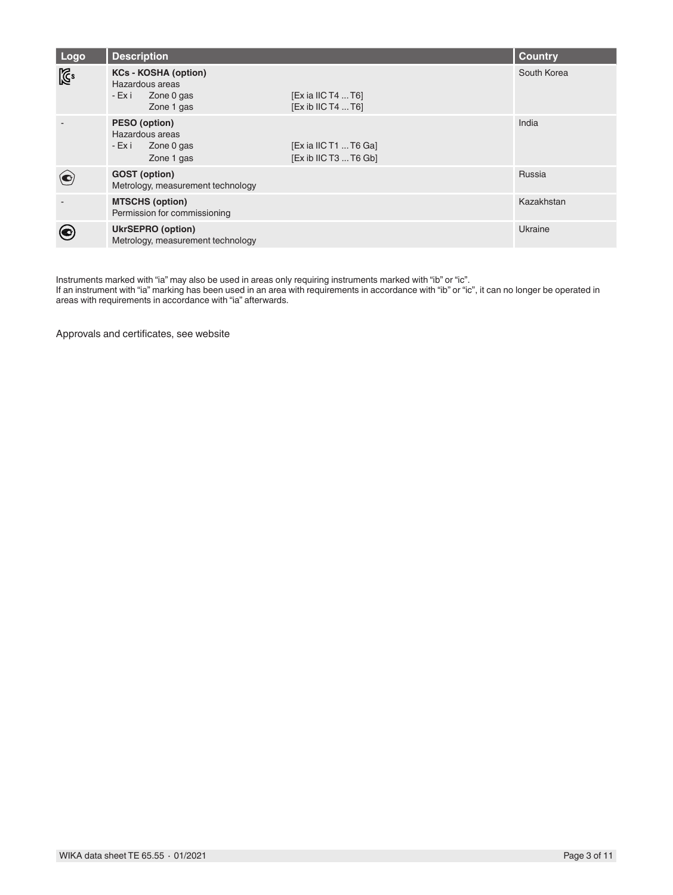| Logo           | <b>Description</b>                                                                   |                                                  | <b>Country</b> |
|----------------|--------------------------------------------------------------------------------------|--------------------------------------------------|----------------|
| $\mathbb{Z}^2$ | <b>KCs - KOSHA (option)</b><br>Hazardous areas<br>- Ex i<br>Zone 0 gas<br>Zone 1 gas | $[Ex$ ia IIC T4  T6]<br>[Ex ib IIC T4  T6]       | South Korea    |
|                | PESO (option)<br>Hazardous areas<br>- Ex i<br>Zone 0 gas<br>Zone 1 gas               | $[Ex$ ia IIC T1  T6 Ga]<br>[Ex ib IIC T3  T6 Gb] | India          |
|                | <b>GOST</b> (option)<br>Metrology, measurement technology                            |                                                  | Russia         |
|                | <b>MTSCHS (option)</b><br>Permission for commissioning                               |                                                  | Kazakhstan     |
|                | <b>UkrSEPRO (option)</b><br>Metrology, measurement technology                        |                                                  | Ukraine        |

Instruments marked with "ia" may also be used in areas only requiring instruments marked with "ib" or "ic".

If an instrument with "ia" marking has been used in an area with requirements in accordance with "ib" or "ic", it can no longer be operated in areas with requirements in accordance with "ia" afterwards.

Approvals and certificates, see website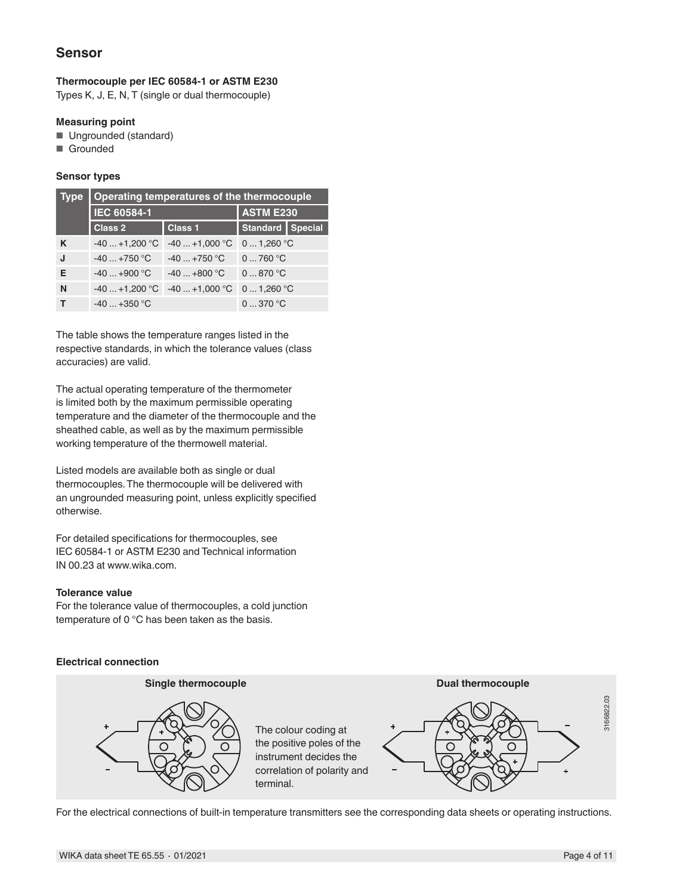## **Sensor**

### **Thermocouple per IEC 60584-1 or ASTM E230**

Types K, J, E, N, T (single or dual thermocouple)

#### **Measuring point**

- Ungrounded (standard)
- Grounded

#### **Sensor types**

| <b>Type</b> | Operating temperatures of the thermocouple |                  |                    |  |  |  |
|-------------|--------------------------------------------|------------------|--------------------|--|--|--|
|             | <b>IEC 60584-1</b>                         | <b>ASTM E230</b> |                    |  |  |  |
|             | <b>Class 2</b>                             | <b>Class 1</b>   | Standard   Special |  |  |  |
| K           | $-40+1,200$ °C                             | $-40+1,000$ °C   | $01,260$ °C        |  |  |  |
| J           | $-40+750$ °C                               | $-40+750$ °C     | 0760 °C            |  |  |  |
| Е           | $-40+900$ °C                               | $-40+800$ °C     | 0870 °C            |  |  |  |
| N           | $-40+1,200$ °C                             | $-40+1,000$ °C   | 01,260 °C          |  |  |  |
|             | $-40+350$ °C                               |                  | 0370 °C            |  |  |  |

The table shows the temperature ranges listed in the respective standards, in which the tolerance values (class accuracies) are valid.

The actual operating temperature of the thermometer is limited both by the maximum permissible operating temperature and the diameter of the thermocouple and the sheathed cable, as well as by the maximum permissible working temperature of the thermowell material.

Listed models are available both as single or dual thermocouples. The thermocouple will be delivered with an ungrounded measuring point, unless explicitly specified otherwise.

For detailed specifications for thermocouples, see IEC 60584-1 or ASTM E230 and Technical information IN 00.23 at www.wika.com.

#### **Tolerance value**

For the tolerance value of thermocouples, a cold junction temperature of 0 °C has been taken as the basis.

#### **Electrical connection**



For the electrical connections of built-in temperature transmitters see the corresponding data sheets or operating instructions.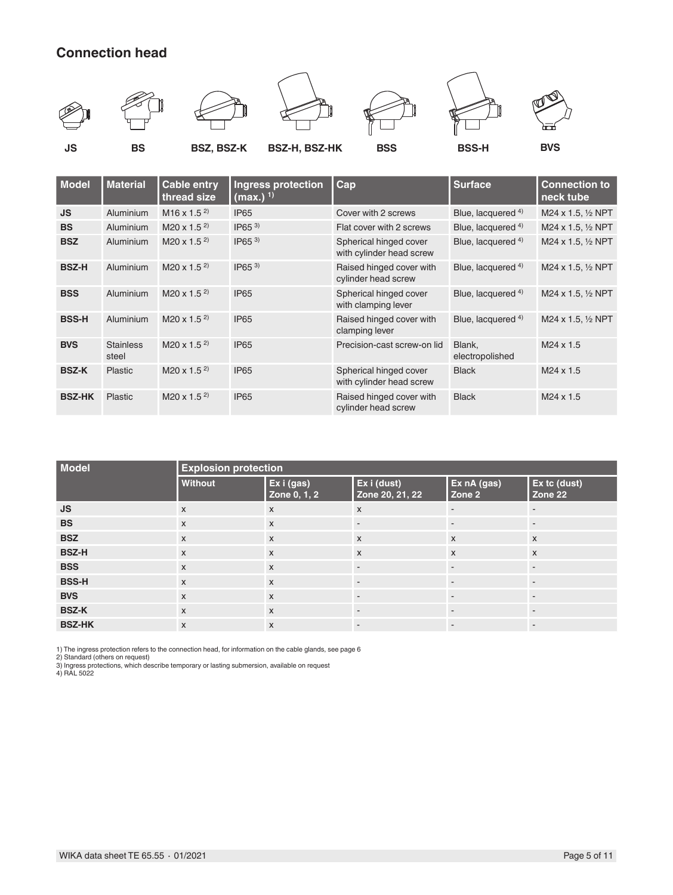# **Connection head**



| <b>Model</b>  | <b>Material</b>           | <b>Cable entry</b><br>thread size    | Ingress protection<br>$(max.)$ <sup>1)</sup> | Cap                                                | <b>Surface</b>            | <b>Connection to</b><br>neck tube |
|---------------|---------------------------|--------------------------------------|----------------------------------------------|----------------------------------------------------|---------------------------|-----------------------------------|
| <b>JS</b>     | Aluminium                 | $M16 \times 1.5^{2}$                 | <b>IP65</b>                                  | Cover with 2 screws                                | Blue, lacquered 4)        | M24 x 1.5, 1/2 NPT                |
| <b>BS</b>     | Aluminium                 | M <sub>20</sub> x 1.5 <sup>2</sup> ) | $IP65^{3}$                                   | Flat cover with 2 screws                           | Blue, lacquered 4)        | M24 x 1.5, 1/2 NPT                |
| <b>BSZ</b>    | Aluminium                 | M20 x 1.5 $^{2}$ )                   | $IP65^{3}$                                   | Spherical hinged cover<br>with cylinder head screw | Blue, lacquered 4)        | M24 x 1.5, 1/2 NPT                |
| <b>BSZ-H</b>  | Aluminium                 | $M20 \times 1.5^{2}$                 | $IP65^{3}$                                   | Raised hinged cover with<br>cylinder head screw    | Blue, lacquered 4)        | M24 x 1.5, 1/2 NPT                |
| <b>BSS</b>    | Aluminium                 | $M20 \times 1.5^{2}$                 | <b>IP65</b>                                  | Spherical hinged cover<br>with clamping lever      | Blue, lacquered 4)        | M24 x 1.5, 1/2 NPT                |
| <b>BSS-H</b>  | Aluminium                 | M <sub>20</sub> x 1.5 <sup>2</sup> ) | <b>IP65</b>                                  | Raised hinged cover with<br>clamping lever         | Blue, lacquered 4)        | M24 x 1.5, 1/2 NPT                |
| <b>BVS</b>    | <b>Stainless</b><br>steel | M <sub>20</sub> x 1.5 <sup>2</sup> ) | <b>IP65</b>                                  | Precision-cast screw-on lid                        | Blank,<br>electropolished | $M24 \times 1.5$                  |
| <b>BSZ-K</b>  | <b>Plastic</b>            | M <sub>20</sub> x 1.5 <sup>2</sup> ) | <b>IP65</b>                                  | Spherical hinged cover<br>with cylinder head screw | <b>Black</b>              | $M24 \times 1.5$                  |
| <b>BSZ-HK</b> | Plastic                   | M <sub>20</sub> x 1.5 <sup>2</sup> ) | <b>IP65</b>                                  | Raised hinged cover with<br>cylinder head screw    | <b>Black</b>              | $M24 \times 1.5$                  |
|               |                           |                                      |                                              |                                                    |                           |                                   |

| <b>Model</b>  | <b>Explosion protection</b> |                            |                                |                          |                          |  |  |
|---------------|-----------------------------|----------------------------|--------------------------------|--------------------------|--------------------------|--|--|
|               | Without                     | Ex i (gas)<br>Zone 0, 1, 2 | Ex i (dust)<br>Zone 20, 21, 22 | Ex nA (gas)<br>Zone 2    | Ex tc (dust)<br>Zone 22  |  |  |
| <b>JS</b>     | $\mathsf{x}$                | $\boldsymbol{\mathsf{x}}$  | $\boldsymbol{\mathsf{X}}$      | $\overline{\phantom{a}}$ | $\overline{\phantom{a}}$ |  |  |
| <b>BS</b>     | $\mathsf{x}$                | $\mathsf{x}$               | $\overline{\phantom{a}}$       | $\overline{\phantom{a}}$ | $\overline{\phantom{a}}$ |  |  |
| <b>BSZ</b>    | $\mathsf{x}$                | $\mathsf{x}$               | $\boldsymbol{\mathsf{x}}$      | $\mathsf{x}$             | $\mathsf{x}$             |  |  |
| <b>BSZ-H</b>  | $\mathsf{x}$                | $\mathsf{x}$               | $\boldsymbol{\mathsf{x}}$      | $\mathsf{x}$             | $\mathsf{x}$             |  |  |
| <b>BSS</b>    | $\mathsf{x}$                | $\boldsymbol{\mathsf{X}}$  | $\overline{\phantom{a}}$       | $\overline{\phantom{a}}$ | $\overline{\phantom{a}}$ |  |  |
| <b>BSS-H</b>  | $\mathsf{x}$                | $\boldsymbol{\mathsf{X}}$  | $\overline{\phantom{a}}$       | $\sim$                   | $\overline{\phantom{a}}$ |  |  |
| <b>BVS</b>    | $\mathsf{x}$                | $\mathsf{x}$               |                                | $\overline{a}$           | $\blacksquare$           |  |  |
| <b>BSZ-K</b>  | $\mathsf{x}$                | $\boldsymbol{\mathsf{X}}$  |                                |                          | $\overline{\phantom{a}}$ |  |  |
| <b>BSZ-HK</b> | $\mathsf{x}$                | $\mathsf{x}$               | $\overline{\phantom{a}}$       | $\overline{\phantom{a}}$ | $\overline{\phantom{a}}$ |  |  |

1) The ingress protection refers to the connection head, for information on the cable glands, see page 6<br>2) Standard (others on request)<br>3) Ingress protections, which describe temporary or lasting submersion, available on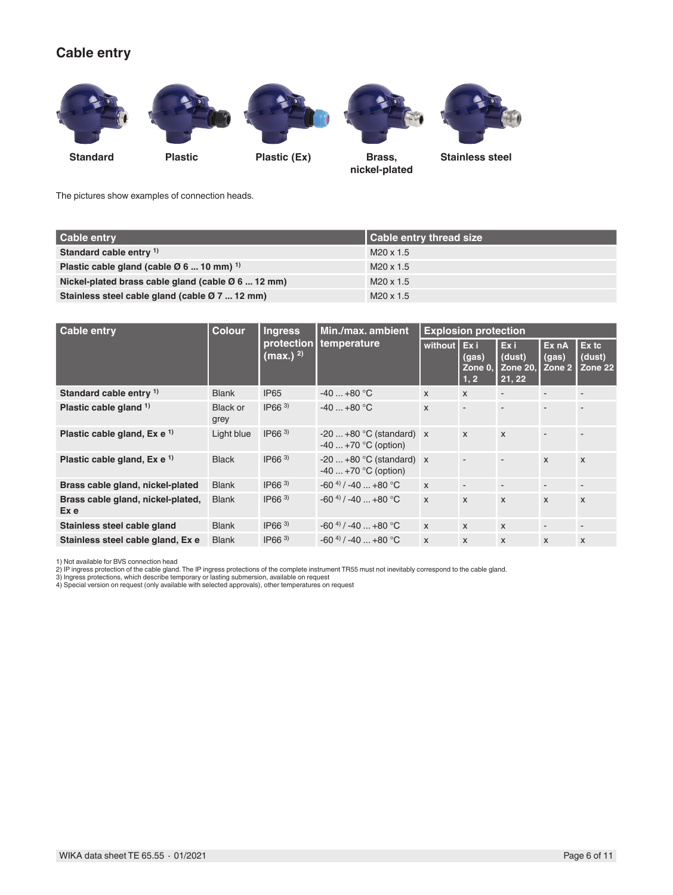## **Cable entry**



The pictures show examples of connection heads.

| Cable entry                                                      | <b>Cable entry thread size</b> |
|------------------------------------------------------------------|--------------------------------|
| Standard cable entry <sup>1)</sup>                               | M20 x 1.5                      |
| Plastic cable gland (cable $\varnothing$ 6  10 mm) <sup>1)</sup> | M20 x 1.5                      |
| Nickel-plated brass cable gland (cable $\varnothing$ 6  12 mm)   | $M20 \times 1.5$               |
| Stainless steel cable gland (cable Ø 7  12 mm)                   | $M20 \times 1.5$               |

| <b>Cable entry</b>                        | <b>Colour</b><br><b>Ingress</b> |                   | Min./max. ambient                                | <b>Explosion protection</b> |                           |                                            |                          |                            |
|-------------------------------------------|---------------------------------|-------------------|--------------------------------------------------|-----------------------------|---------------------------|--------------------------------------------|--------------------------|----------------------------|
|                                           | protection<br>$(max.)^{2)}$     |                   | temperature                                      | without Ex i                | (gas)<br>Zone 0.<br>1, 2  | Exi<br>(dust)<br><b>Zone 20,</b><br>21, 22 | Ex nA<br>(gas)<br>Zone 2 | Ex tc<br>(dust)<br>Zone 22 |
| Standard cable entry <sup>1)</sup>        | <b>Blank</b>                    | <b>IP65</b>       | $-40+80$ °C                                      | $\mathsf{x}$                | $\mathsf{x}$              |                                            |                          |                            |
| Plastic cable gland <sup>1)</sup>         | <b>Black or</b><br>grey         | $IP66^{3}$        | $-40+80$ °C                                      | $\mathsf{x}$                | ٠                         |                                            | ٠                        |                            |
| Plastic cable gland, $Ex e^{-1}$          | Light blue                      | $IP66^{3}$        | $-20+80$ °C (standard) x<br>$-40+70$ °C (option) |                             | $\mathsf{x}$              | $\mathsf{x}$                               | $\overline{a}$           |                            |
| Plastic cable gland, $Ex e^{-1}$          | <b>Black</b>                    | IP66 <sup>3</sup> | $-20+80$ °C (standard) x<br>$-40+70$ °C (option) |                             |                           |                                            | $\mathsf{x}$             | $\mathsf{x}$               |
| Brass cable gland, nickel-plated          | <b>Blank</b>                    | $IP66^{3}$        | $-60^{4}$ / $-40$ $+80^{\circ}$ C                | $\mathsf{x}$                | $\overline{\phantom{a}}$  | $\overline{\phantom{a}}$                   | ۰                        |                            |
| Brass cable gland, nickel-plated,<br>Ex e | <b>Blank</b>                    | IP66 <sup>3</sup> | $-60^{4}$ / $-40$ $+80^{\circ}$ C                | $\mathsf{x}$                | $\boldsymbol{\mathsf{x}}$ | $\mathsf{x}$                               | $\mathsf{x}$             | $\mathsf{x}$               |
| Stainless steel cable gland               | <b>Blank</b>                    | $IP66^{3}$        | $-60^{4}$ / $-40$ $+80^{\circ}$ C                | $\mathsf{x}$                | $\mathsf{x}$              | $\mathsf{x}$                               | $\overline{\phantom{a}}$ |                            |
| Stainless steel cable gland, Ex e         | <b>Blank</b>                    | $IP66^{3}$        | $-60^{4}$ / $-40$ $+80^{\circ}$ C                | X                           | $\mathsf{x}$              | X                                          | $\mathsf{x}$             | $\mathsf{x}$               |

1) Not available for BVS connection head

2) IP ingress protection of the cable gland. The IP ingress protections of the complete instrument TR55 must not inevitably correspond to the cable gland.<br>3) Ingress protections, which describe temporary or lasting submers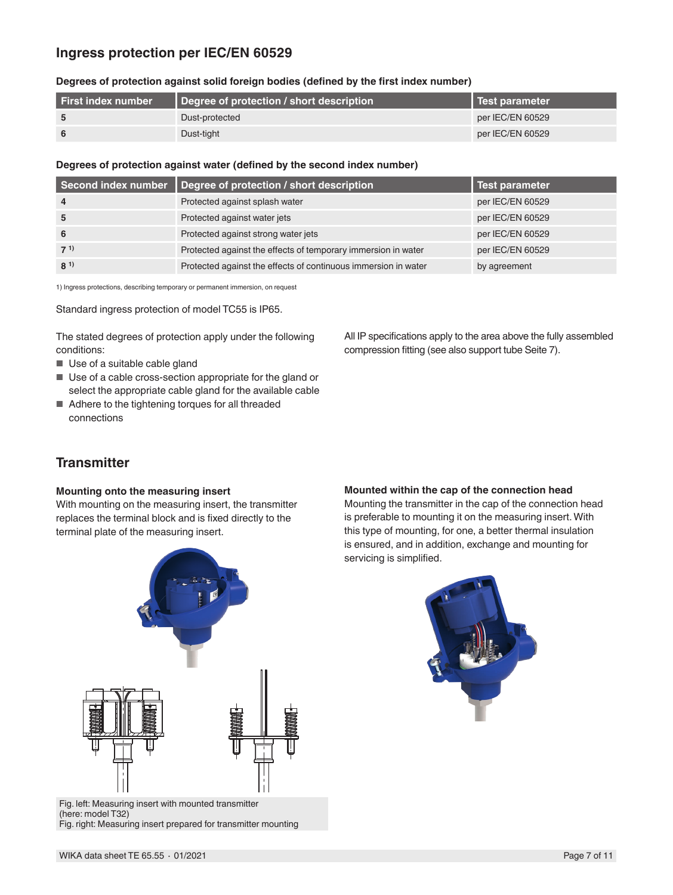## **Ingress protection per IEC/EN 60529**

| Degrees of protection against solid foreign bodies (defined by the first index number) |  |  |  |
|----------------------------------------------------------------------------------------|--|--|--|
|----------------------------------------------------------------------------------------|--|--|--|

| <b>First index number</b> | Degree of protection / short description | Test parameter   |
|---------------------------|------------------------------------------|------------------|
|                           | Dust-protected                           | per IEC/EN 60529 |
|                           | Dust-tight                               | per IEC/EN 60529 |

#### **Degrees of protection against water (defined by the second index number)**

|                | Second index number   Degree of protection / short description | <b>Test parameter</b> |
|----------------|----------------------------------------------------------------|-----------------------|
| $\overline{4}$ | Protected against splash water                                 | per IEC/EN 60529      |
| 5              | Protected against water jets                                   | per IEC/EN 60529      |
| - 6            | Protected against strong water jets                            | per IEC/EN 60529      |
| $7^{1}$        | Protected against the effects of temporary immersion in water  | per IEC/EN 60529      |
| $8^{1}$        | Protected against the effects of continuous immersion in water | by agreement          |

1) Ingress protections, describing temporary or permanent immersion, on request

Standard ingress protection of model TC55 is IP65.

The stated degrees of protection apply under the following conditions:

- Use of a suitable cable gland
- Use of a cable cross-section appropriate for the gland or select the appropriate cable gland for the available cable
- Adhere to the tightening torques for all threaded connections

## **Transmitter**

#### **Mounting onto the measuring insert**

With mounting on the measuring insert, the transmitter replaces the terminal block and is fixed directly to the terminal plate of the measuring insert.



Mounting the transmitter in the cap of the connection head is preferable to mounting it on the measuring insert. With this type of mounting, for one, a better thermal insulation is ensured, and in addition, exchange and mounting for servicing is simplified.

All IP specifications apply to the area above the fully assembled

compression fitting (see also support tube Seite 7).





Fig. left: Measuring insert with mounted transmitter (here: model T32) Fig. right: Measuring insert prepared for transmitter mounting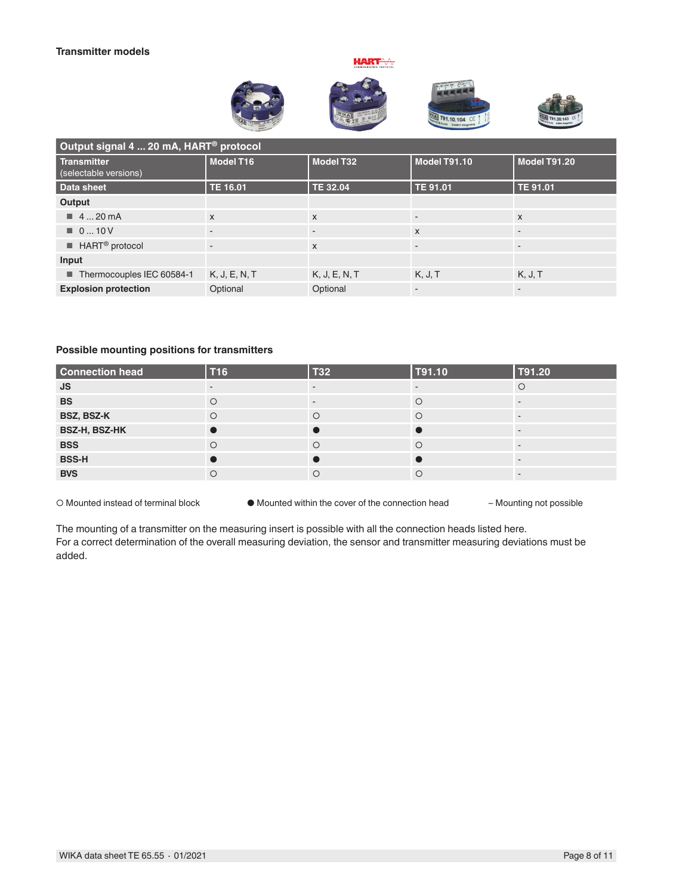#### **Transmitter models**





 $\biguplus_{\mathsf{vec}}$ 





| Output signal 4  20 mA, HART <sup>®</sup> protocol |                |                          |                           |              |  |  |
|----------------------------------------------------|----------------|--------------------------|---------------------------|--------------|--|--|
| Transmitter<br>(selectable versions)               | Model T16      | <b>Model T32</b>         | Model T91.10              | Model T91.20 |  |  |
| Data sheet                                         | TE 16.01       | TE 32.04                 | TE 91.01                  | TE 91.01     |  |  |
| Output                                             |                |                          |                           |              |  |  |
| $\blacksquare$ 4  20 mA                            | $\mathsf{x}$   | X                        |                           | $\mathsf{x}$ |  |  |
| $\blacksquare$ 010 V                               | $\blacksquare$ | $\overline{\phantom{a}}$ | $\boldsymbol{\mathsf{X}}$ |              |  |  |
| $\blacksquare$ HART <sup>®</sup> protocol          | $\overline{a}$ | X                        | ۰                         |              |  |  |
| Input                                              |                |                          |                           |              |  |  |
| Thermocouples IEC 60584-1                          | K, J, E, N, T  | K, J, E, N, T            | K, J, T                   | K, J, T      |  |  |
| <b>Explosion protection</b>                        | Optional       | Optional                 | ۰                         |              |  |  |

#### **Possible mounting positions for transmitters**

| <b>Connection head</b> | T <sub>16</sub> | <b>T32</b> | T91.10 | T91.20 |
|------------------------|-----------------|------------|--------|--------|
| <b>JS</b>              |                 |            |        |        |
| <b>BS</b>              |                 |            |        |        |
| BSZ, BSZ-K             |                 | $\circ$    |        |        |
| BSZ-H, BSZ-HK          |                 |            |        |        |
| <b>BSS</b>             |                 | $\circ$    |        |        |
| <b>BSS-H</b>           |                 |            |        |        |
| <b>BVS</b>             |                 | $\circ$    | С      |        |

○ Mounted instead of terminal block ● Mounted within the cover of the connection head – Mounting not possible

The mounting of a transmitter on the measuring insert is possible with all the connection heads listed here. For a correct determination of the overall measuring deviation, the sensor and transmitter measuring deviations must be added.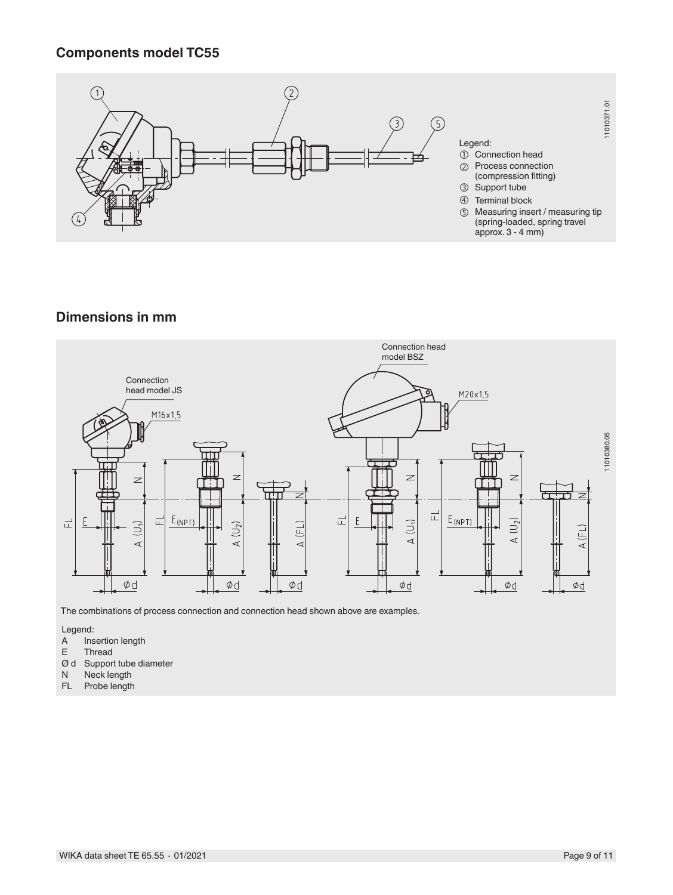## **Components model TC55**



## **Dimensions in mm**



The combinations of process connection and connection head shown above are examples.

- Legend:<br>A Ins A Insertion length<br>E Thread
- Thread
- $\emptyset$  d Support tube diameter<br>N Neck length
- N Neck length<br>FL Probe length
- Probe length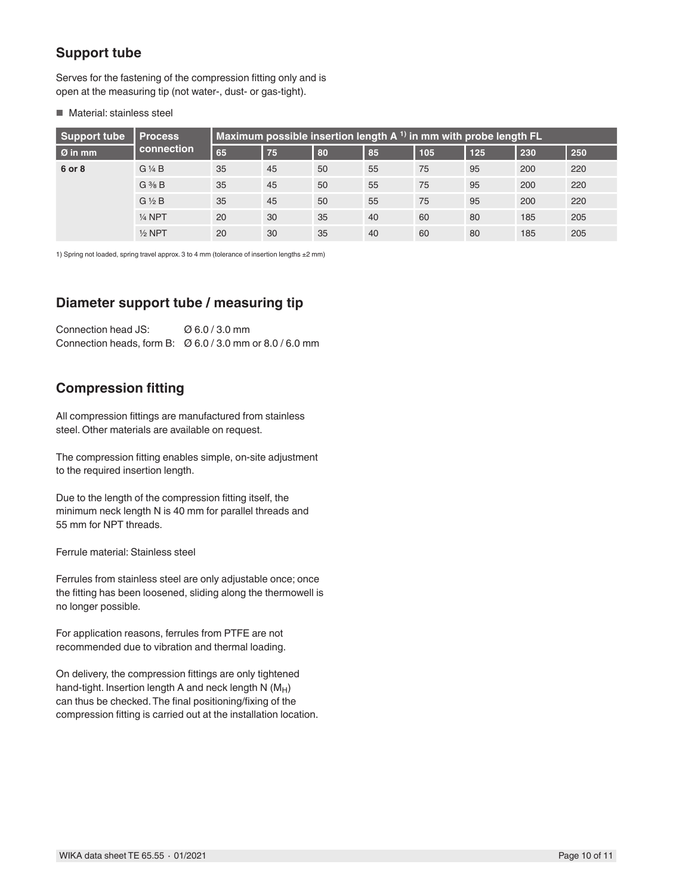# **Support tube**

Serves for the fastening of the compression fitting only and is open at the measuring tip (not water-, dust- or gas-tight).

#### ■ Material: stainless steel

| Support tube        | <b>Process</b>             | Maximum possible insertion length $A$ <sup>1)</sup> in mm with probe length FL |    |    |    |     |     |     |     |  |
|---------------------|----------------------------|--------------------------------------------------------------------------------|----|----|----|-----|-----|-----|-----|--|
| $\varnothing$ in mm | connection                 | 65                                                                             | 75 | 80 | 85 | 105 | 125 | 230 | 250 |  |
| 6 or 8              | $G\mathrel{\mathcal{H}} B$ | 35                                                                             | 45 | 50 | 55 | 75  | 95  | 200 | 220 |  |
|                     | $G \frac{3}{8} B$          | 35                                                                             | 45 | 50 | 55 | 75  | 95  | 200 | 220 |  |
|                     | $G\frac{1}{2}B$            | 35                                                                             | 45 | 50 | 55 | 75  | 95  | 200 | 220 |  |
|                     | $1/4$ NPT                  | 20                                                                             | 30 | 35 | 40 | 60  | 80  | 185 | 205 |  |
|                     | $1/2$ NPT                  | 20                                                                             | 30 | 35 | 40 | 60  | 80  | 185 | 205 |  |

1) Spring not loaded, spring travel approx. 3 to 4 mm (tolerance of insertion lengths ±2 mm)

## **Diameter support tube / measuring tip**

Connection head JS: Ø 6.0 / 3.0 mm Connection heads, form B: Ø 6.0 / 3.0 mm or 8.0 / 6.0 mm

## **Compression fitting**

All compression fittings are manufactured from stainless steel. Other materials are available on request.

The compression fitting enables simple, on-site adjustment to the required insertion length.

Due to the length of the compression fitting itself, the minimum neck length N is 40 mm for parallel threads and 55 mm for NPT threads.

Ferrule material: Stainless steel

Ferrules from stainless steel are only adjustable once; once the fitting has been loosened, sliding along the thermowell is no longer possible.

For application reasons, ferrules from PTFE are not recommended due to vibration and thermal loading.

On delivery, the compression fittings are only tightened hand-tight. Insertion length A and neck length  $N(M_H)$ can thus be checked. The final positioning/fixing of the compression fitting is carried out at the installation location.